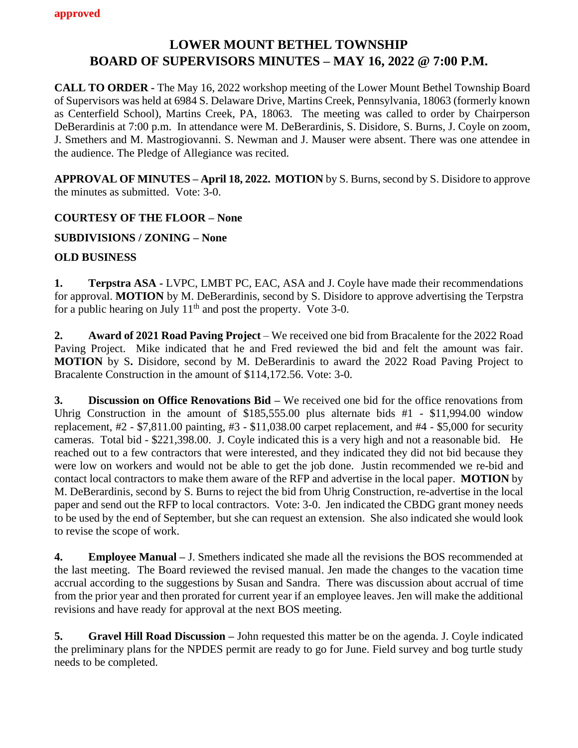## **LOWER MOUNT BETHEL TOWNSHIP BOARD OF SUPERVISORS MINUTES – MAY 16, 2022 @ 7:00 P.M.**

**CALL TO ORDER -** The May 16, 2022 workshop meeting of the Lower Mount Bethel Township Board of Supervisors was held at 6984 S. Delaware Drive, Martins Creek, Pennsylvania, 18063 (formerly known as Centerfield School), Martins Creek, PA, 18063. The meeting was called to order by Chairperson DeBerardinis at 7:00 p.m. In attendance were M. DeBerardinis, S. Disidore, S. Burns, J. Coyle on zoom, J. Smethers and M. Mastrogiovanni. S. Newman and J. Mauser were absent. There was one attendee in the audience. The Pledge of Allegiance was recited.

**APPROVAL OF MINUTES – April 18, 2022. MOTION** by S. Burns, second by S. Disidore to approve the minutes as submitted. Vote: 3-0.

#### **COURTESY OF THE FLOOR – None**

#### **SUBDIVISIONS / ZONING – None**

#### **OLD BUSINESS**

**1. Terpstra ASA -** LVPC, LMBT PC, EAC, ASA and J. Coyle have made their recommendations for approval. **MOTION** by M. DeBerardinis, second by S. Disidore to approve advertising the Terpstra for a public hearing on July  $11<sup>th</sup>$  and post the property. Vote 3-0.

**2. Award of 2021 Road Paving Project** – We received one bid from Bracalente for the 2022 Road Paving Project. Mike indicated that he and Fred reviewed the bid and felt the amount was fair. **MOTION** by S**.** Disidore, second by M. DeBerardinis to award the 2022 Road Paving Project to Bracalente Construction in the amount of \$114,172.56. Vote: 3-0.

**3. Discussion on Office Renovations Bid –** We received one bid for the office renovations from Uhrig Construction in the amount of \$185,555.00 plus alternate bids #1 - \$11,994.00 window replacement, #2 - \$7,811.00 painting, #3 - \$11,038.00 carpet replacement, and #4 - \$5,000 for security cameras. Total bid - \$221,398.00. J. Coyle indicated this is a very high and not a reasonable bid. He reached out to a few contractors that were interested, and they indicated they did not bid because they were low on workers and would not be able to get the job done. Justin recommended we re-bid and contact local contractors to make them aware of the RFP and advertise in the local paper. **MOTION** by M. DeBerardinis, second by S. Burns to reject the bid from Uhrig Construction, re-advertise in the local paper and send out the RFP to local contractors. Vote: 3-0. Jen indicated the CBDG grant money needs to be used by the end of September, but she can request an extension. She also indicated she would look to revise the scope of work.

**4. Employee Manual –** J. Smethers indicated she made all the revisions the BOS recommended at the last meeting. The Board reviewed the revised manual. Jen made the changes to the vacation time accrual according to the suggestions by Susan and Sandra. There was discussion about accrual of time from the prior year and then prorated for current year if an employee leaves. Jen will make the additional revisions and have ready for approval at the next BOS meeting.

**5. Gravel Hill Road Discussion –** John requested this matter be on the agenda. J. Coyle indicated the preliminary plans for the NPDES permit are ready to go for June. Field survey and bog turtle study needs to be completed.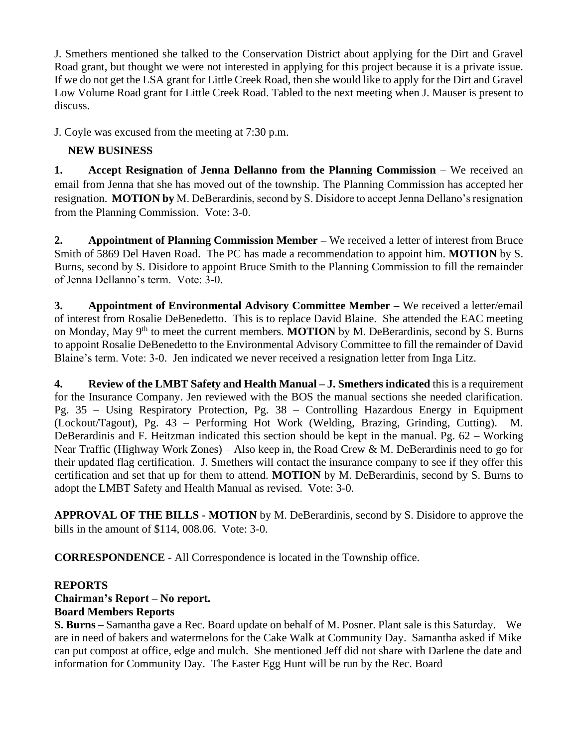J. Smethers mentioned she talked to the Conservation District about applying for the Dirt and Gravel Road grant, but thought we were not interested in applying for this project because it is a private issue. If we do not get the LSA grant for Little Creek Road, then she would like to apply for the Dirt and Gravel Low Volume Road grant for Little Creek Road. Tabled to the next meeting when J. Mauser is present to discuss.

J. Coyle was excused from the meeting at 7:30 p.m.

### **NEW BUSINESS**

**1. Accept Resignation of Jenna Dellanno from the Planning Commission** – We received an email from Jenna that she has moved out of the township. The Planning Commission has accepted her resignation. **MOTION by** M. DeBerardinis, second by S. Disidore to accept Jenna Dellano's resignation from the Planning Commission. Vote: 3-0.

**2. Appointment of Planning Commission Member –** We received a letter of interest from Bruce Smith of 5869 Del Haven Road. The PC has made a recommendation to appoint him. **MOTION** by S. Burns, second by S. Disidore to appoint Bruce Smith to the Planning Commission to fill the remainder of Jenna Dellanno's term. Vote: 3-0.

**3. Appointment of Environmental Advisory Committee Member –** We received a letter/email of interest from Rosalie DeBenedetto. This is to replace David Blaine. She attended the EAC meeting on Monday, May 9th to meet the current members. **MOTION** by M. DeBerardinis, second by S. Burns to appoint Rosalie DeBenedetto to the Environmental Advisory Committee to fill the remainder of David Blaine's term. Vote: 3-0. Jen indicated we never received a resignation letter from Inga Litz.

**4. Review of the LMBT Safety and Health Manual – J. Smethers indicated** this is a requirement for the Insurance Company. Jen reviewed with the BOS the manual sections she needed clarification. Pg. 35 – Using Respiratory Protection, Pg. 38 – Controlling Hazardous Energy in Equipment (Lockout/Tagout), Pg. 43 – Performing Hot Work (Welding, Brazing, Grinding, Cutting). M. DeBerardinis and F. Heitzman indicated this section should be kept in the manual. Pg. 62 – Working Near Traffic (Highway Work Zones) – Also keep in, the Road Crew & M. DeBerardinis need to go for their updated flag certification. J. Smethers will contact the insurance company to see if they offer this certification and set that up for them to attend. **MOTION** by M. DeBerardinis, second by S. Burns to adopt the LMBT Safety and Health Manual as revised. Vote: 3-0.

**APPROVAL OF THE BILLS - MOTION** by M. DeBerardinis, second by S. Disidore to approve the bills in the amount of \$114, 008.06. Vote: 3-0.

**CORRESPONDENCE** - All Correspondence is located in the Township office.

### **REPORTS**

# **Chairman's Report – No report.**

### **Board Members Reports**

**S. Burns –** Samantha gave a Rec. Board update on behalf of M. Posner. Plant sale is this Saturday. We are in need of bakers and watermelons for the Cake Walk at Community Day. Samantha asked if Mike can put compost at office, edge and mulch. She mentioned Jeff did not share with Darlene the date and information for Community Day. The Easter Egg Hunt will be run by the Rec. Board